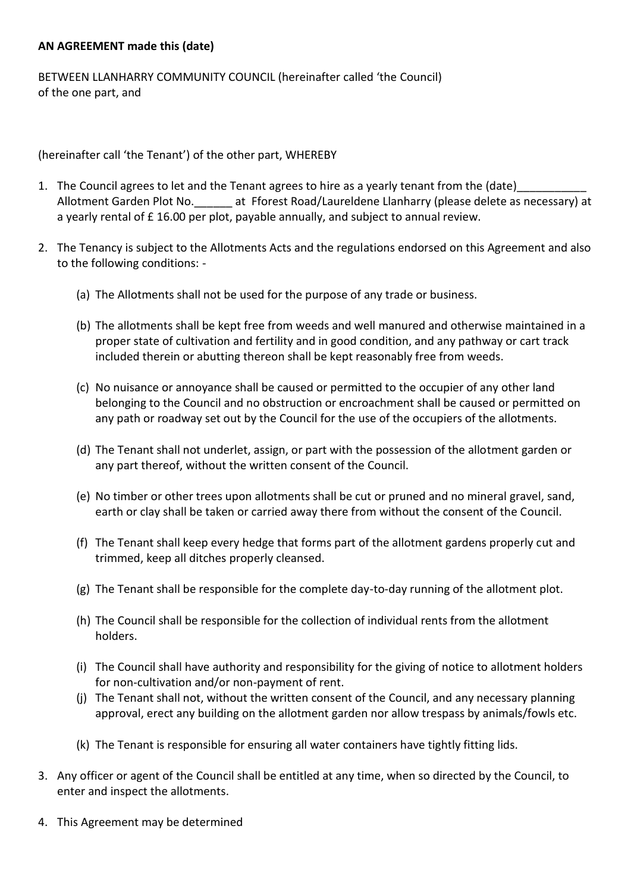## **AN AGREEMENT made this (date)**

BETWEEN LLANHARRY COMMUNITY COUNCIL (hereinafter called 'the Council) of the one part, and

(hereinafter call 'the Tenant') of the other part, WHEREBY

- 1. The Council agrees to let and the Tenant agrees to hire as a yearly tenant from the (date) Allotment Garden Plot No.\_\_\_\_\_\_ at Fforest Road/Laureldene Llanharry (please delete as necessary) at a yearly rental of  $E$  16.00 per plot, payable annually, and subject to annual review.
- 2. The Tenancy is subject to the Allotments Acts and the regulations endorsed on this Agreement and also to the following conditions: -
	- (a) The Allotments shall not be used for the purpose of any trade or business.
	- (b) The allotments shall be kept free from weeds and well manured and otherwise maintained in a proper state of cultivation and fertility and in good condition, and any pathway or cart track included therein or abutting thereon shall be kept reasonably free from weeds.
	- (c) No nuisance or annoyance shall be caused or permitted to the occupier of any other land belonging to the Council and no obstruction or encroachment shall be caused or permitted on any path or roadway set out by the Council for the use of the occupiers of the allotments.
	- (d) The Tenant shall not underlet, assign, or part with the possession of the allotment garden or any part thereof, without the written consent of the Council.
	- (e) No timber or other trees upon allotments shall be cut or pruned and no mineral gravel, sand, earth or clay shall be taken or carried away there from without the consent of the Council.
	- (f) The Tenant shall keep every hedge that forms part of the allotment gardens properly cut and trimmed, keep all ditches properly cleansed.
	- (g) The Tenant shall be responsible for the complete day-to-day running of the allotment plot.
	- (h) The Council shall be responsible for the collection of individual rents from the allotment holders.
	- (i) The Council shall have authority and responsibility for the giving of notice to allotment holders for non-cultivation and/or non-payment of rent.
	- (j) The Tenant shall not, without the written consent of the Council, and any necessary planning approval, erect any building on the allotment garden nor allow trespass by animals/fowls etc.
	- (k) The Tenant is responsible for ensuring all water containers have tightly fitting lids.
- 3. Any officer or agent of the Council shall be entitled at any time, when so directed by the Council, to enter and inspect the allotments.
- 4. This Agreement may be determined